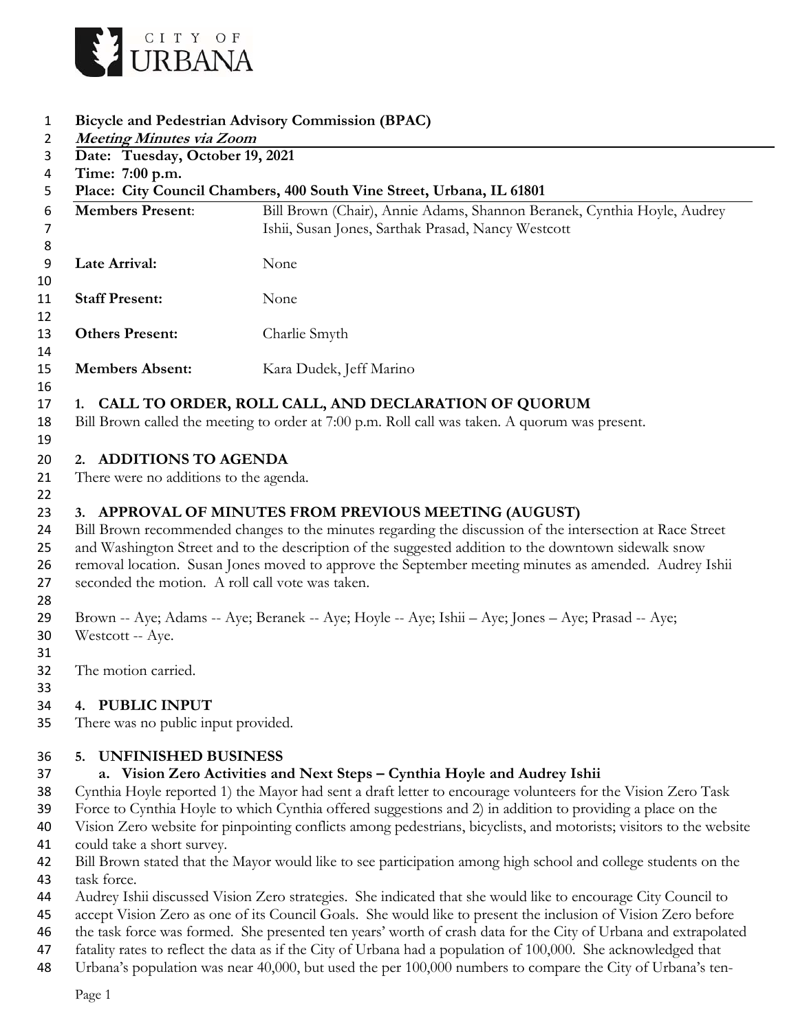

- **Bicycle and Pedestrian Advisory Commission (BPAC)**
- **Meeting Minutes via Zoom Date: Tuesday, October 19, 2021 Time: 7:00 p.m. Place: City Council Chambers, 400 South Vine Street, Urbana, IL 61801 Members Present**: Bill Brown (Chair), Annie Adams, Shannon Beranek, Cynthia Hoyle, Audrey Ishii, Susan Jones, Sarthak Prasad, Nancy Westcott **Late Arrival:** None **Staff Present:** None **Others Present:** Charlie Smyth **Members Absent:** Kara Dudek, Jeff Marino  **1. CALL TO ORDER, ROLL CALL, AND DECLARATION OF QUORUM**  Bill Brown called the meeting to order at 7:00 p.m. Roll call was taken. A quorum was present.

#### **2. ADDITIONS TO AGENDA**

21 There were no additions to the agenda.

## **3. APPROVAL OF MINUTES FROM PREVIOUS MEETING (AUGUST)**

- Bill Brown recommended changes to the minutes regarding the discussion of the intersection at Race Street and Washington Street and to the description of the suggested addition to the downtown sidewalk snow removal location. Susan Jones moved to approve the September meeting minutes as amended. Audrey Ishii
- seconded the motion. A roll call vote was taken.
- 

 Brown -- Aye; Adams -- Aye; Beranek -- Aye; Hoyle -- Aye; Ishii – Aye; Jones – Aye; Prasad -- Aye; Westcott -- Aye.

- 
- The motion carried.

#### **4. PUBLIC INPUT**

There was no public input provided.

### **5. UNFINISHED BUSINESS**

# **a. Vision Zero Activities and Next Steps – Cynthia Hoyle and Audrey Ishii**

- Cynthia Hoyle reported 1) the Mayor had sent a draft letter to encourage volunteers for the Vision Zero Task
- Force to Cynthia Hoyle to which Cynthia offered suggestions and 2) in addition to providing a place on the
- Vision Zero website for pinpointing conflicts among pedestrians, bicyclists, and motorists; visitors to the website could take a short survey.
- Bill Brown stated that the Mayor would like to see participation among high school and college students on the task force.
- Audrey Ishii discussed Vision Zero strategies. She indicated that she would like to encourage City Council to
- accept Vision Zero as one of its Council Goals. She would like to present the inclusion of Vision Zero before
- the task force was formed. She presented ten years' worth of crash data for the City of Urbana and extrapolated
- fatality rates to reflect the data as if the City of Urbana had a population of 100,000. She acknowledged that
- Urbana's population was near 40,000, but used the per 100,000 numbers to compare the City of Urbana's ten-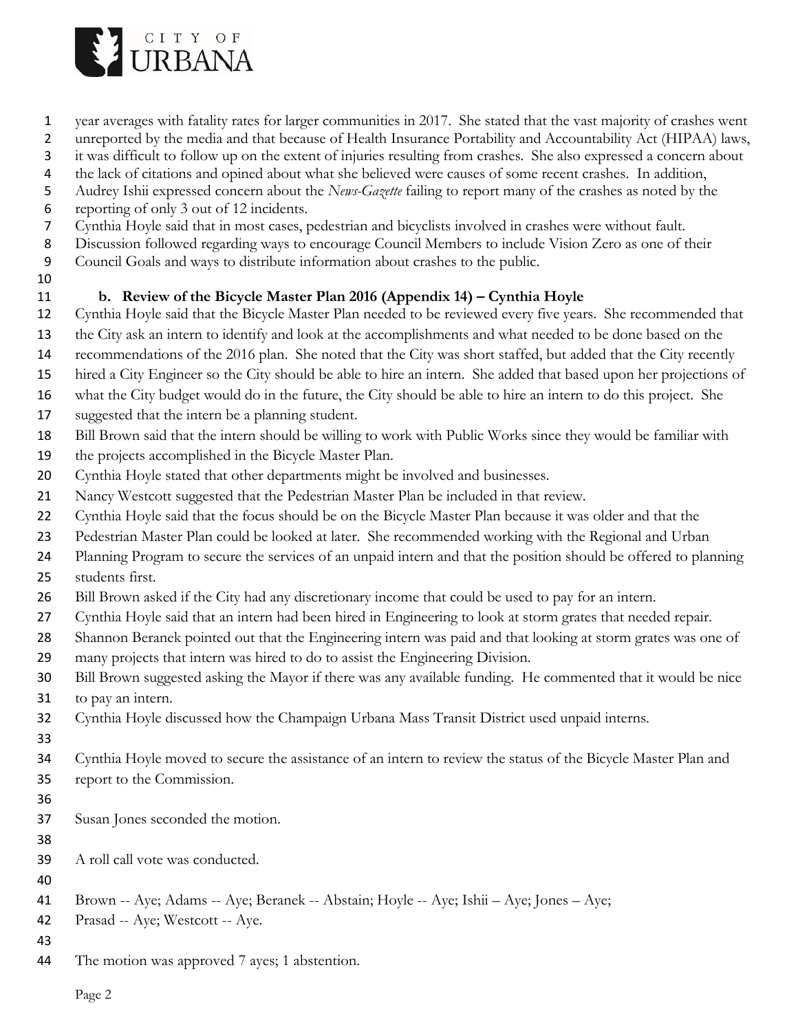

- year averages with fatality rates for larger communities in 2017. She stated that the vast majority of crashes went
- unreported by the media and that because of Health Insurance Portability and Accountability Act (HIPAA) laws,
- it was difficult to follow up on the extent of injuries resulting from crashes. She also expressed a concern about
- the lack of citations and opined about what she believed were causes of some recent crashes. In addition,
- Audrey Ishii expressed concern about the *News-Gazette* failing to report many of the crashes as noted by the
- reporting of only 3 out of 12 incidents.
- Cynthia Hoyle said that in most cases, pedestrian and bicyclists involved in crashes were without fault.
- Discussion followed regarding ways to encourage Council Members to include Vision Zero as one of their
- Council Goals and ways to distribute information about crashes to the public.
- 

## **b. Review of the Bicycle Master Plan 2016 (Appendix 14) – Cynthia Hoyle**

- Cynthia Hoyle said that the Bicycle Master Plan needed to be reviewed every five years. She recommended that
- the City ask an intern to identify and look at the accomplishments and what needed to be done based on the
- recommendations of the 2016 plan. She noted that the City was short staffed, but added that the City recently
- hired a City Engineer so the City should be able to hire an intern. She added that based upon her projections of
- what the City budget would do in the future, the City should be able to hire an intern to do this project. She
- suggested that the intern be a planning student.
- Bill Brown said that the intern should be willing to work with Public Works since they would be familiar with
- the projects accomplished in the Bicycle Master Plan.
- Cynthia Hoyle stated that other departments might be involved and businesses.
- Nancy Westcott suggested that the Pedestrian Master Plan be included in that review.
- Cynthia Hoyle said that the focus should be on the Bicycle Master Plan because it was older and that the
- Pedestrian Master Plan could be looked at later. She recommended working with the Regional and Urban
- Planning Program to secure the services of an unpaid intern and that the position should be offered to planning students first.
- Bill Brown asked if the City had any discretionary income that could be used to pay for an intern.
- Cynthia Hoyle said that an intern had been hired in Engineering to look at storm grates that needed repair.
- Shannon Beranek pointed out that the Engineering intern was paid and that looking at storm grates was one of many projects that intern was hired to do to assist the Engineering Division.
- Bill Brown suggested asking the Mayor if there was any available funding. He commented that it would be nice to pay an intern.
- Cynthia Hoyle discussed how the Champaign Urbana Mass Transit District used unpaid interns.
- 
- 
- Cynthia Hoyle moved to secure the assistance of an intern to review the status of the Bicycle Master Plan and report to the Commission.
- 
- Susan Jones seconded the motion.
- 
- A roll call vote was conducted.
- 
- Brown -- Aye; Adams -- Aye; Beranek -- Abstain; Hoyle -- Aye; Ishii Aye; Jones Aye;
- Prasad -- Aye; Westcott -- Aye.
- 
- The motion was approved 7 ayes; 1 abstention.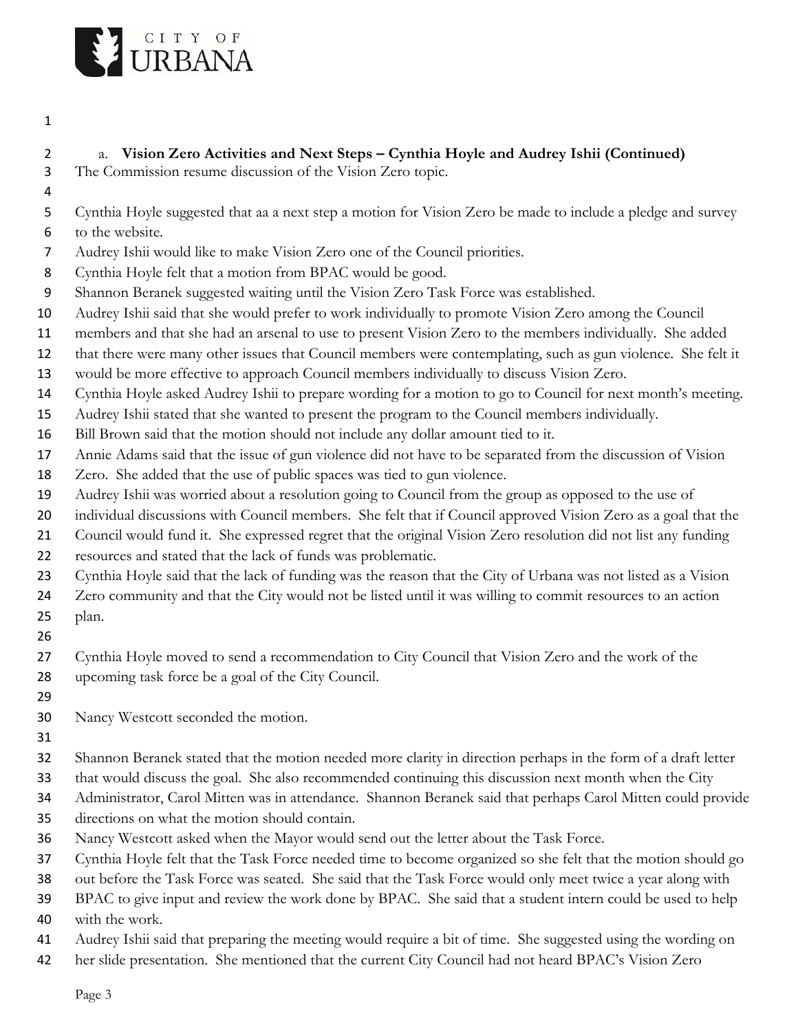

# a. **Vision Zero Activities and Next Steps – Cynthia Hoyle and Audrey Ishii (Continued)**

- The Commission resume discussion of the Vision Zero topic.
- 

 Cynthia Hoyle suggested that aa a next step a motion for Vision Zero be made to include a pledge and survey to the website.

- Audrey Ishii would like to make Vision Zero one of the Council priorities.
- Cynthia Hoyle felt that a motion from BPAC would be good.
- Shannon Beranek suggested waiting until the Vision Zero Task Force was established.
- Audrey Ishii said that she would prefer to work individually to promote Vision Zero among the Council
- members and that she had an arsenal to use to present Vision Zero to the members individually. She added
- that there were many other issues that Council members were contemplating, such as gun violence. She felt it
- would be more effective to approach Council members individually to discuss Vision Zero.
- Cynthia Hoyle asked Audrey Ishii to prepare wording for a motion to go to Council for next month's meeting.
- Audrey Ishii stated that she wanted to present the program to the Council members individually.
- Bill Brown said that the motion should not include any dollar amount tied to it.
- Annie Adams said that the issue of gun violence did not have to be separated from the discussion of Vision
- Zero. She added that the use of public spaces was tied to gun violence.
- Audrey Ishii was worried about a resolution going to Council from the group as opposed to the use of
- 20 individual discussions with Council members. She felt that if Council approved Vision Zero as a goal that the
- Council would fund it. She expressed regret that the original Vision Zero resolution did not list any funding
- resources and stated that the lack of funds was problematic.
- Cynthia Hoyle said that the lack of funding was the reason that the City of Urbana was not listed as a Vision
- Zero community and that the City would not be listed until it was willing to commit resources to an action plan.
- 
- Cynthia Hoyle moved to send a recommendation to City Council that Vision Zero and the work of the upcoming task force be a goal of the City Council.
- 
- Nancy Westcott seconded the motion.
- 
- Shannon Beranek stated that the motion needed more clarity in direction perhaps in the form of a draft letter
- that would discuss the goal. She also recommended continuing this discussion next month when the City
- Administrator, Carol Mitten was in attendance. Shannon Beranek said that perhaps Carol Mitten could provide
- directions on what the motion should contain.
- Nancy Westcott asked when the Mayor would send out the letter about the Task Force.
- Cynthia Hoyle felt that the Task Force needed time to become organized so she felt that the motion should go
- out before the Task Force was seated. She said that the Task Force would only meet twice a year along with
- BPAC to give input and review the work done by BPAC. She said that a student intern could be used to help
- with the work.
- Audrey Ishii said that preparing the meeting would require a bit of time. She suggested using the wording on
- her slide presentation. She mentioned that the current City Council had not heard BPAC's Vision Zero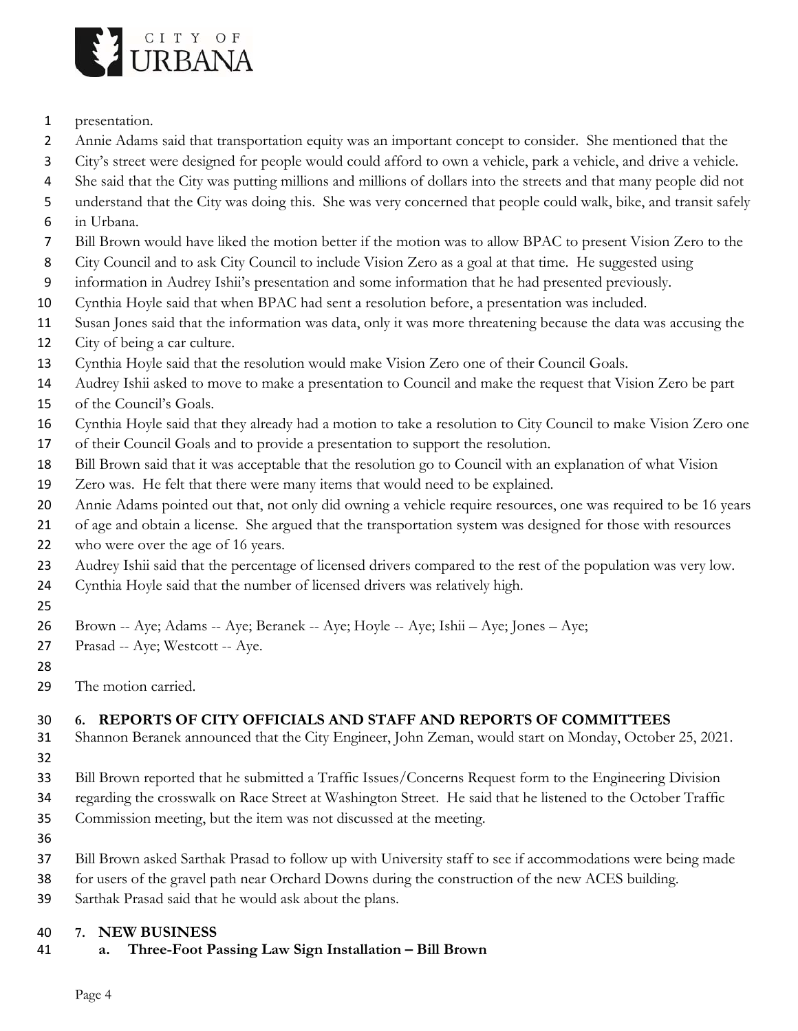

- presentation.
- Annie Adams said that transportation equity was an important concept to consider. She mentioned that the
- City's street were designed for people would could afford to own a vehicle, park a vehicle, and drive a vehicle.
- She said that the City was putting millions and millions of dollars into the streets and that many people did not
- understand that the City was doing this. She was very concerned that people could walk, bike, and transit safely
- in Urbana.
- Bill Brown would have liked the motion better if the motion was to allow BPAC to present Vision Zero to the
- City Council and to ask City Council to include Vision Zero as a goal at that time. He suggested using
- information in Audrey Ishii's presentation and some information that he had presented previously.
- Cynthia Hoyle said that when BPAC had sent a resolution before, a presentation was included.
- Susan Jones said that the information was data, only it was more threatening because the data was accusing the
- City of being a car culture.
- Cynthia Hoyle said that the resolution would make Vision Zero one of their Council Goals.
- Audrey Ishii asked to move to make a presentation to Council and make the request that Vision Zero be part
- of the Council's Goals.
- Cynthia Hoyle said that they already had a motion to take a resolution to City Council to make Vision Zero one
- of their Council Goals and to provide a presentation to support the resolution.
- Bill Brown said that it was acceptable that the resolution go to Council with an explanation of what Vision
- Zero was. He felt that there were many items that would need to be explained.
- Annie Adams pointed out that, not only did owning a vehicle require resources, one was required to be 16 years
- of age and obtain a license. She argued that the transportation system was designed for those with resources
- 22 who were over the age of 16 years.
- Audrey Ishii said that the percentage of licensed drivers compared to the rest of the population was very low.
- Cynthia Hoyle said that the number of licensed drivers was relatively high.
- 
- Brown -- Aye; Adams -- Aye; Beranek -- Aye; Hoyle -- Aye; Ishii Aye; Jones Aye;
- 27 Prasad -- Aye; Westcott -- Aye.
- 
- 29 The motion carried.

# **6. REPORTS OF CITY OFFICIALS AND STAFF AND REPORTS OF COMMITTEES**

- Shannon Beranek announced that the City Engineer, John Zeman, would start on Monday, October 25, 2021.
- 
- Bill Brown reported that he submitted a Traffic Issues/Concerns Request form to the Engineering Division
- regarding the crosswalk on Race Street at Washington Street. He said that he listened to the October Traffic
- Commission meeting, but the item was not discussed at the meeting.
- 
- Bill Brown asked Sarthak Prasad to follow up with University staff to see if accommodations were being made
- for users of the gravel path near Orchard Downs during the construction of the new ACES building.
- Sarthak Prasad said that he would ask about the plans.

# **7. NEW BUSINESS**

**a. Three-Foot Passing Law Sign Installation – Bill Brown**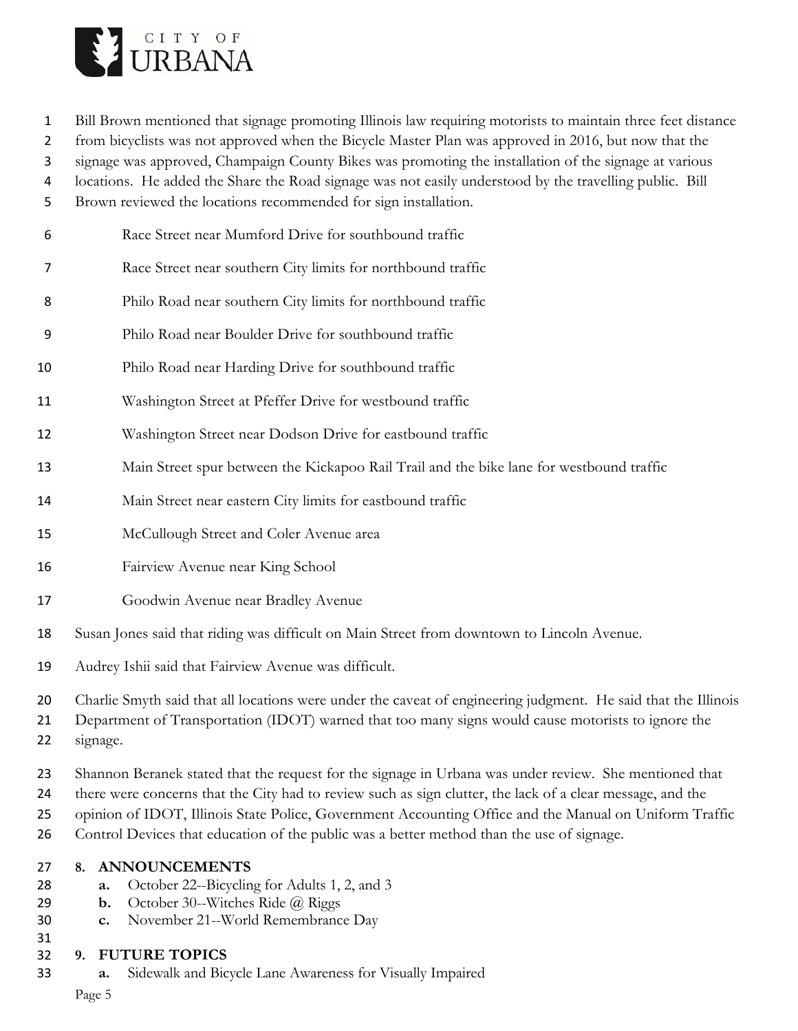

Bill Brown mentioned that signage promoting Illinois law requiring motorists to maintain three feet distance

from bicyclists was not approved when the Bicycle Master Plan was approved in 2016, but now that the

signage was approved, Champaign County Bikes was promoting the installation of the signage at various

locations. He added the Share the Road signage was not easily understood by the travelling public. Bill

Brown reviewed the locations recommended for sign installation.

- Race Street near Mumford Drive for southbound traffic
- Race Street near southern City limits for northbound traffic
- Philo Road near southern City limits for northbound traffic
- Philo Road near Boulder Drive for southbound traffic
- Philo Road near Harding Drive for southbound traffic
- Washington Street at Pfeffer Drive for westbound traffic
- Washington Street near Dodson Drive for eastbound traffic
- Main Street spur between the Kickapoo Rail Trail and the bike lane for westbound traffic
- Main Street near eastern City limits for eastbound traffic
- McCullough Street and Coler Avenue area
- Fairview Avenue near King School
- **Goodwin Avenue near Bradley Avenue**
- Susan Jones said that riding was difficult on Main Street from downtown to Lincoln Avenue.
- Audrey Ishii said that Fairview Avenue was difficult.
- Charlie Smyth said that all locations were under the caveat of engineering judgment. He said that the Illinois
- Department of Transportation (IDOT) warned that too many signs would cause motorists to ignore the
- signage.
- Shannon Beranek stated that the request for the signage in Urbana was under review. She mentioned that
- there were concerns that the City had to review such as sign clutter, the lack of a clear message, and the
- opinion of IDOT, Illinois State Police, Government Accounting Office and the Manual on Uniform Traffic
- Control Devices that education of the public was a better method than the use of signage.

### **8. ANNOUNCEMENTS**

- **a.** October 22--Bicycling for Adults 1, 2, and 3
- **b.** October 30--Witches Ride @ Riggs
- **c.** November 21--World Remembrance Day
- 
- **9. FUTURE TOPICS**
- **a.** Sidewalk and Bicycle Lane Awareness for Visually Impaired